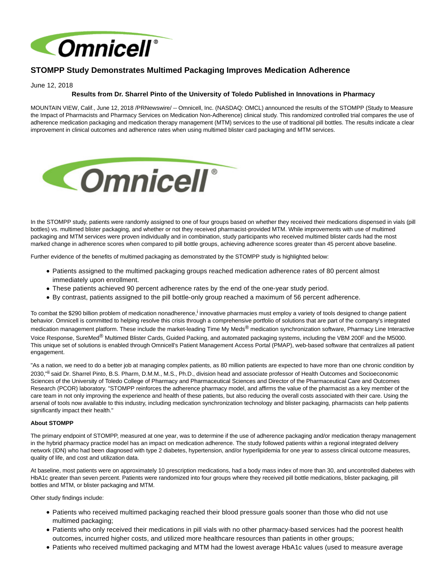

## **STOMPP Study Demonstrates Multimed Packaging Improves Medication Adherence**

June 12, 2018

## **Results from Dr. Sharrel Pinto of the University of Toledo Published in Innovations in Pharmacy**

MOUNTAIN VIEW, Calif., June 12, 2018 /PRNewswire/ -- Omnicell, Inc. (NASDAQ: OMCL) announced the results of the STOMPP (Study to Measure the Impact of Pharmacists and Pharmacy Services on Medication Non-Adherence) clinical study. This randomized controlled trial compares the use of adherence medication packaging and medication therapy management (MTM) services to the use of traditional pill bottles. The results indicate a clear improvement in clinical outcomes and adherence rates when using multimed blister card packaging and MTM services.



In the STOMPP study, patients were randomly assigned to one of four groups based on whether they received their medications dispensed in vials (pill bottles) vs. multimed blister packaging, and whether or not they received pharmacist-provided MTM. While improvements with use of multimed packaging and MTM services were proven individually and in combination, study participants who received multimed blister cards had the most marked change in adherence scores when compared to pill bottle groups, achieving adherence scores greater than 45 percent above baseline.

Further evidence of the benefits of multimed packaging as demonstrated by the STOMPP study is highlighted below:

- Patients assigned to the multimed packaging groups reached medication adherence rates of 80 percent almost immediately upon enrollment.
- These patients achieved 90 percent adherence rates by the end of the one-year study period.
- By contrast, patients assigned to the pill bottle-only group reached a maximum of 56 percent adherence.

To combat the \$290 billion problem of medication nonadherence,<sup>i</sup> innovative pharmacies must employ a variety of tools designed to change patient behavior. Omnicell is committed to helping resolve this crisis through a comprehensive portfolio of solutions that are part of the company's integrated medication management platform. These include the market-leading Time My Meds<sup>®</sup> medication synchronization software, Pharmacy Line Interactive Voice Response, SureMed® Multimed Blister Cards, Guided Packing, and automated packaging systems, including the VBM 200F and the M5000. This unique set of solutions is enabled through Omnicell's Patient Management Access Portal (PMAP), web-based software that centralizes all patient engagement.

"As a nation, we need to do a better job at managing complex patients, as 80 million patients are expected to have more than one chronic condition by 2030,"<sup>ii</sup> said Dr. Sharrel Pinto, B.S. Pharm, D.M.M., M.S., Ph.D., division head and associate professor of Health Outcomes and Socioeconomic Sciences of the University of Toledo College of Pharmacy and Pharmaceutical Sciences and Director of the Pharmaceutical Care and Outcomes Research (PCOR) laboratory. "STOMPP reinforces the adherence pharmacy model, and affirms the value of the pharmacist as a key member of the care team in not only improving the experience and health of these patients, but also reducing the overall costs associated with their care. Using the arsenal of tools now available to this industry, including medication synchronization technology and blister packaging, pharmacists can help patients significantly impact their health."

## **About STOMPP**

The primary endpoint of STOMPP, measured at one year, was to determine if the use of adherence packaging and/or medication therapy management in the hybrid pharmacy practice model has an impact on medication adherence. The study followed patients within a regional integrated delivery network (IDN) who had been diagnosed with type 2 diabetes, hypertension, and/or hyperlipidemia for one year to assess clinical outcome measures, quality of life, and cost and utilization data.

At baseline, most patients were on approximately 10 prescription medications, had a body mass index of more than 30, and uncontrolled diabetes with HbA1c greater than seven percent. Patients were randomized into four groups where they received pill bottle medications, blister packaging, pill bottles and MTM, or blister packaging and MTM.

Other study findings include:

- Patients who received multimed packaging reached their blood pressure goals sooner than those who did not use multimed packaging;
- Patients who only received their medications in pill vials with no other pharmacy-based services had the poorest health outcomes, incurred higher costs, and utilized more healthcare resources than patients in other groups;
- Patients who received multimed packaging and MTM had the lowest average HbA1c values (used to measure average